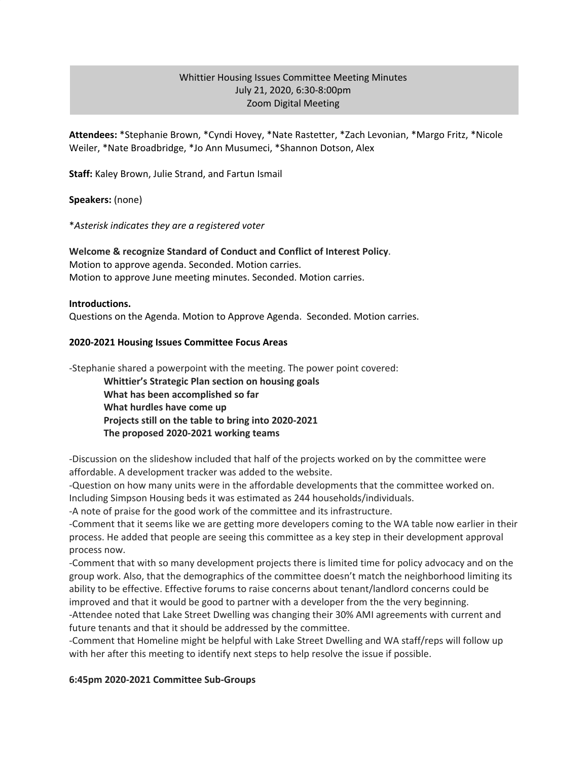### Whittier Housing Issues Committee Meeting Minutes July 21, 2020, 6:30-8:00pm Zoom Digital Meeting

**Attendees:** \*Stephanie Brown, \*Cyndi Hovey, \*Nate Rastetter, \*Zach Levonian, \*Margo Fritz, \*Nicole Weiler, \*Nate Broadbridge, \*Jo Ann Musumeci, \*Shannon Dotson, Alex

**Staff:** Kaley Brown, Julie Strand, and Fartun Ismail

**Speakers:** (none)

\**Asterisk indicates they are a registered voter*

# **Welcome & recognize Standard of Conduct and Conflict of Interest Policy**.

Motion to approve agenda. Seconded. Motion carries. Motion to approve June meeting minutes. Seconded. Motion carries.

**Introductions.**

Questions on the Agenda. Motion to Approve Agenda. Seconded. Motion carries.

#### **2020-2021 Housing Issues Committee Focus Areas**

-Stephanie shared a powerpoint with the meeting. The power point covered:

**Whittier's Strategic Plan section on housing goals What has been accomplished so far What hurdles have come up Projects still on the table to bring into 2020-2021 The proposed 2020-2021 working teams**

-Discussion on the slideshow included that half of the projects worked on by the committee were affordable. A development tracker was added to the website.

-Question on how many units were in the affordable developments that the committee worked on. Including Simpson Housing beds it was estimated as 244 households/individuals.

-A note of praise for the good work of the committee and its infrastructure.

-Comment that it seems like we are getting more developers coming to the WA table now earlier in their process. He added that people are seeing this committee as a key step in their development approval process now.

-Comment that with so many development projects there is limited time for policy advocacy and on the group work. Also, that the demographics of the committee doesn't match the neighborhood limiting its ability to be effective. Effective forums to raise concerns about tenant/landlord concerns could be improved and that it would be good to partner with a developer from the the very beginning. -Attendee noted that Lake Street Dwelling was changing their 30% AMI agreements with current and future tenants and that it should be addressed by the committee.

-Comment that Homeline might be helpful with Lake Street Dwelling and WA staff/reps will follow up with her after this meeting to identify next steps to help resolve the issue if possible.

#### **6:45pm 2020-2021 Committee Sub-Groups**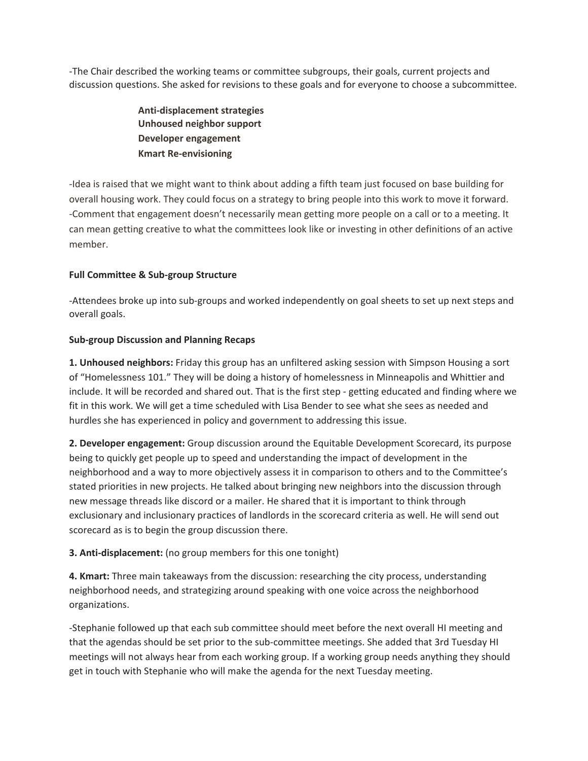-The Chair described the working teams or committee subgroups, their goals, current projects and discussion questions. She asked for revisions to these goals and for everyone to choose a subcommittee.

> **Anti-displacement strategies Unhoused neighbor support Developer engagement Kmart Re-envisioning**

-Idea is raised that we might want to think about adding a fifth team just focused on base building for overall housing work. They could focus on a strategy to bring people into this work to move it forward. -Comment that engagement doesn't necessarily mean getting more people on a call or to a meeting. It can mean getting creative to what the committees look like or investing in other definitions of an active member.

### **Full Committee & Sub-group Structure**

-Attendees broke up into sub-groups and worked independently on goal sheets to set up next steps and overall goals.

### **Sub-group Discussion and Planning Recaps**

**1. Unhoused neighbors:** Friday this group has an unfiltered asking session with Simpson Housing a sort of "Homelessness 101." They will be doing a history of homelessness in Minneapolis and Whittier and include. It will be recorded and shared out. That is the first step - getting educated and finding where we fit in this work. We will get a time scheduled with Lisa Bender to see what she sees as needed and hurdles she has experienced in policy and government to addressing this issue.

**2. Developer engagement:** Group discussion around the Equitable Development Scorecard, its purpose being to quickly get people up to speed and understanding the impact of development in the neighborhood and a way to more objectively assess it in comparison to others and to the Committee's stated priorities in new projects. He talked about bringing new neighbors into the discussion through new message threads like discord or a mailer. He shared that it is important to think through exclusionary and inclusionary practices of landlords in the scorecard criteria as well. He will send out scorecard as is to begin the group discussion there.

## **3. Anti-displacement:** (no group members for this one tonight)

**4. Kmart:** Three main takeaways from the discussion: researching the city process, understanding neighborhood needs, and strategizing around speaking with one voice across the neighborhood organizations.

-Stephanie followed up that each sub committee should meet before the next overall HI meeting and that the agendas should be set prior to the sub-committee meetings. She added that 3rd Tuesday HI meetings will not always hear from each working group. If a working group needs anything they should get in touch with Stephanie who will make the agenda for the next Tuesday meeting.